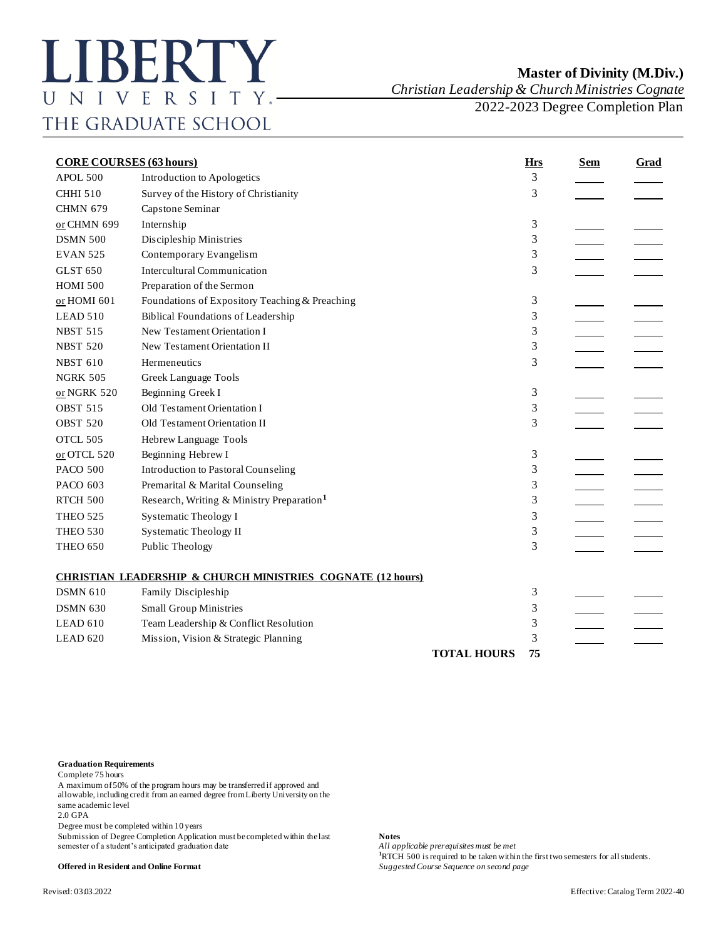## **Master of Divinity (M.Div.)**

*Christian Leadership & Church Ministries Cognate*

2022-2023 Degree Completion Plan

| <b>CORE COURSES (63 hours)</b> |                                                                        |                    | <b>Hrs</b> | <b>Sem</b> | <b>Grad</b> |
|--------------------------------|------------------------------------------------------------------------|--------------------|------------|------------|-------------|
| APOL 500                       | Introduction to Apologetics                                            |                    | 3          |            |             |
| <b>CHHI 510</b>                | Survey of the History of Christianity                                  |                    | 3          |            |             |
| <b>CHMN 679</b>                | Capstone Seminar                                                       |                    |            |            |             |
| or CHMN 699                    | Internship                                                             |                    | 3          |            |             |
| <b>DSMN 500</b>                | Discipleship Ministries                                                |                    | 3          |            |             |
| <b>EVAN 525</b>                | Contemporary Evangelism                                                |                    | 3          |            |             |
| <b>GLST 650</b>                | <b>Intercultural Communication</b>                                     |                    | 3          |            |             |
| <b>HOMI 500</b>                | Preparation of the Sermon                                              |                    |            |            |             |
| or HOMI 601                    | Foundations of Expository Teaching & Preaching                         |                    | 3          |            |             |
| LEAD 510                       | <b>Biblical Foundations of Leadership</b>                              |                    | 3          |            |             |
| <b>NBST 515</b>                | New Testament Orientation I                                            |                    | 3          |            |             |
| <b>NBST 520</b>                | New Testament Orientation II                                           |                    | 3          |            |             |
| <b>NBST 610</b>                | Hermeneutics                                                           |                    | 3          |            |             |
| <b>NGRK 505</b>                | <b>Greek Language Tools</b>                                            |                    |            |            |             |
| or NGRK 520                    | Beginning Greek I                                                      |                    | 3          |            |             |
| <b>OBST 515</b>                | Old Testament Orientation I                                            |                    | 3          |            |             |
| <b>OBST 520</b>                | Old Testament Orientation II                                           |                    | 3          |            |             |
| OTCL 505                       | Hebrew Language Tools                                                  |                    |            |            |             |
| or OTCL 520                    | Beginning Hebrew I                                                     |                    | 3          |            |             |
| <b>PACO 500</b>                | <b>Introduction to Pastoral Counseling</b>                             |                    | 3          |            |             |
| PACO 603                       | Premarital & Marital Counseling                                        |                    | 3          |            |             |
| RTCH 500                       | Research, Writing & Ministry Preparation <sup>1</sup>                  |                    | 3          |            |             |
| <b>THEO 525</b>                | <b>Systematic Theology I</b>                                           |                    | 3          |            |             |
| <b>THEO 530</b>                | <b>Systematic Theology II</b>                                          |                    | 3          |            |             |
| <b>THEO 650</b>                | Public Theology                                                        |                    | 3          |            |             |
|                                | <b>CHRISTIAN LEADERSHIP &amp; CHURCH MINISTRIES COGNATE (12 hours)</b> |                    |            |            |             |
| <b>DSMN 610</b>                | Family Discipleship                                                    |                    | 3          |            |             |
| <b>DSMN 630</b>                | <b>Small Group Ministries</b>                                          |                    | 3          |            |             |
| LEAD 610                       | Team Leadership & Conflict Resolution                                  |                    | 3          |            |             |
| LEAD 620                       | Mission, Vision & Strategic Planning                                   |                    | 3          |            |             |
|                                |                                                                        | <b>TOTAL HOURS</b> | 75         |            |             |

## **Graduation Requirements**

Complete 75 hours

A maximum of 50% of the program hours may be transferred if approved and allowable, including credit from an earned degree from Liberty University on the same academic level

2.0 GPA

Degree must be completed within 10 years

Submission of Degree Completion Application must be completed within the last **Notes** semester of a student's anticipated graduation date

**100 is requisites must be met**<br>**1**RTCH 500 is required to be taken within the first two semesters for all students. **Offered in Resident and Online Format** *Suggested Course Sequence on second page*